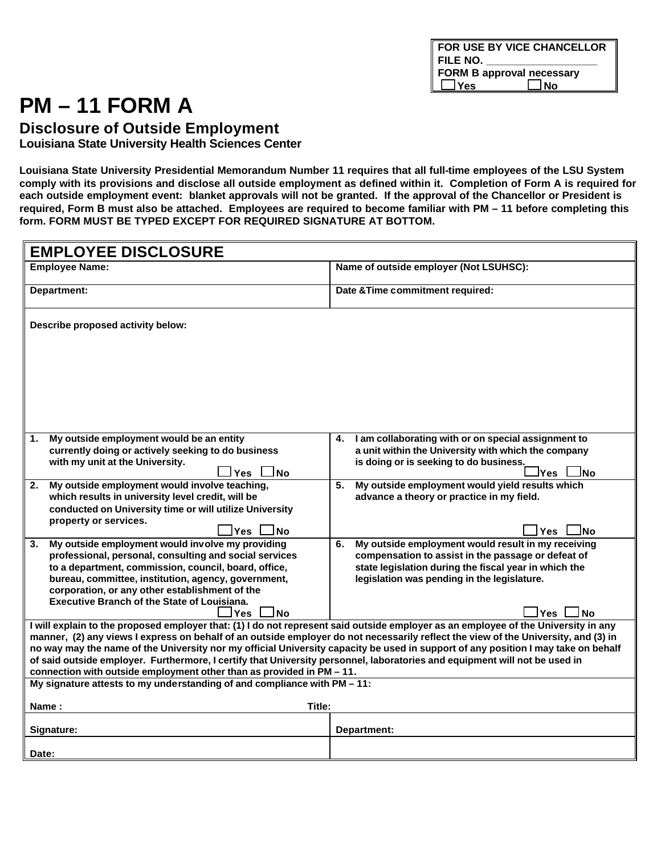# **PM – 11 FORM A**

**Disclosure of Outside Employment**

**Louisiana State University Health Sciences Center**

**Louisiana State University Presidential Memorandum Number 11 requires that all full-time employees of the LSU System comply with its provisions and disclose all outside employment as defined within it. Completion of Form A is required for each outside employment event: blanket approvals will not be granted. If the approval of the Chancellor or President is required, Form B must also be attached. Employees are required to become familiar with PM – 11 before completing this form. FORM MUST BE TYPED EXCEPT FOR REQUIRED SIGNATURE AT BOTTOM.**

| <b>EMPLOYEE DISCLOSURE</b>                                                                                                                                                                                                                                              |                                                                                                                  |  |  |  |
|-------------------------------------------------------------------------------------------------------------------------------------------------------------------------------------------------------------------------------------------------------------------------|------------------------------------------------------------------------------------------------------------------|--|--|--|
| <b>Employee Name:</b>                                                                                                                                                                                                                                                   | Name of outside employer (Not LSUHSC):                                                                           |  |  |  |
| Department:                                                                                                                                                                                                                                                             | Date & Time commitment required:                                                                                 |  |  |  |
| Describe proposed activity below:                                                                                                                                                                                                                                       |                                                                                                                  |  |  |  |
|                                                                                                                                                                                                                                                                         |                                                                                                                  |  |  |  |
|                                                                                                                                                                                                                                                                         |                                                                                                                  |  |  |  |
|                                                                                                                                                                                                                                                                         |                                                                                                                  |  |  |  |
|                                                                                                                                                                                                                                                                         |                                                                                                                  |  |  |  |
| My outside employment would be an entity<br>1.<br>currently doing or actively seeking to do business                                                                                                                                                                    | I am collaborating with or on special assignment to<br>4.<br>a unit within the University with which the company |  |  |  |
| with my unit at the University.<br>Yes<br>l No                                                                                                                                                                                                                          | is doing or is seeking to do business.<br>lNo.<br>lYes.                                                          |  |  |  |
| My outside employment would involve teaching,<br>2.<br>which results in university level credit, will be                                                                                                                                                                | My outside employment would yield results which<br>5.<br>advance a theory or practice in my field.               |  |  |  |
| conducted on University time or will utilize University<br>property or services.                                                                                                                                                                                        |                                                                                                                  |  |  |  |
| ⊥Yes l<br>JNo                                                                                                                                                                                                                                                           | ∃No<br>l Yes                                                                                                     |  |  |  |
| My outside employment would involve my providing<br>3.<br>professional, personal, consulting and social services                                                                                                                                                        | My outside employment would result in my receiving<br>6.<br>compensation to assist in the passage or defeat of   |  |  |  |
| to a department, commission, council, board, office,                                                                                                                                                                                                                    | state legislation during the fiscal year in which the                                                            |  |  |  |
| bureau, committee, institution, agency, government,                                                                                                                                                                                                                     | legislation was pending in the legislature.                                                                      |  |  |  |
| corporation, or any other establishment of the<br><b>Executive Branch of the State of Louisiana.</b>                                                                                                                                                                    |                                                                                                                  |  |  |  |
| ⊥No<br>JYes                                                                                                                                                                                                                                                             | l Yes<br>J No                                                                                                    |  |  |  |
| I will explain to the proposed employer that: (1) I do not represent said outside employer as an employee of the University in any                                                                                                                                      |                                                                                                                  |  |  |  |
| manner, (2) any views I express on behalf of an outside employer do not necessarily reflect the view of the University, and (3) in<br>no way may the name of the University nor my official University capacity be used in support of any position I may take on behalf |                                                                                                                  |  |  |  |
| of said outside employer. Furthermore, I certify that University personnel, laboratories and equipment will not be used in                                                                                                                                              |                                                                                                                  |  |  |  |
| connection with outside employment other than as provided in PM - 11.                                                                                                                                                                                                   |                                                                                                                  |  |  |  |
| My signature attests to my understanding of and compliance with PM - 11:                                                                                                                                                                                                |                                                                                                                  |  |  |  |
| Title:<br>Name:                                                                                                                                                                                                                                                         |                                                                                                                  |  |  |  |
| Signature:                                                                                                                                                                                                                                                              | Department:                                                                                                      |  |  |  |
| Date:                                                                                                                                                                                                                                                                   |                                                                                                                  |  |  |  |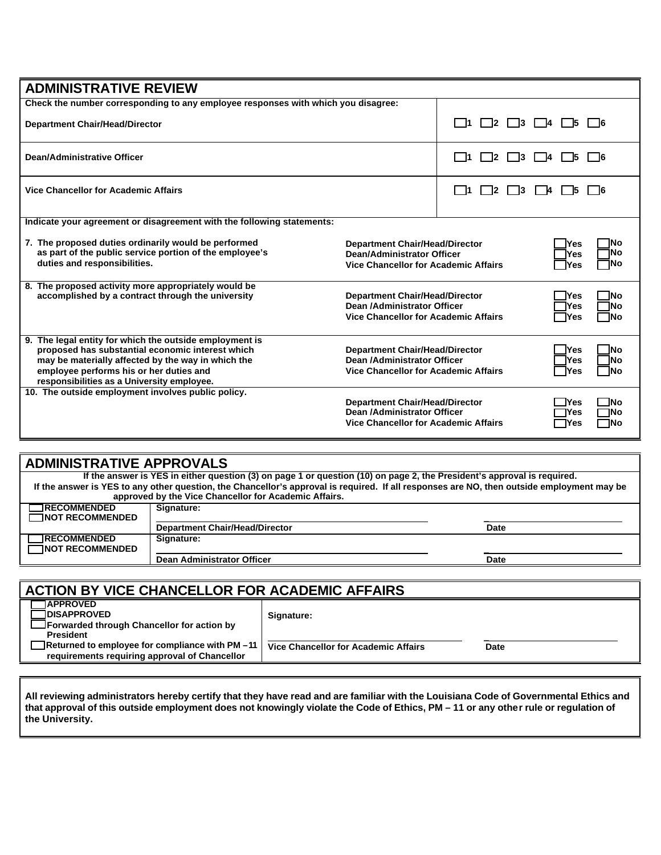| <b>ADMINISTRATIVE REVIEW</b>                                                                                                                                                                                                                               |                                                                                                                                                                      |                                        |                                           |
|------------------------------------------------------------------------------------------------------------------------------------------------------------------------------------------------------------------------------------------------------------|----------------------------------------------------------------------------------------------------------------------------------------------------------------------|----------------------------------------|-------------------------------------------|
| Check the number corresponding to any employee responses with which you disagree:                                                                                                                                                                          |                                                                                                                                                                      |                                        |                                           |
| <b>Department Chair/Head/Director</b>                                                                                                                                                                                                                      |                                                                                                                                                                      | $\vert$ $\vert$ 2<br>$\vert$ 3<br>l 11 | $\vert$ $\vert$ 4<br>$1\quad5$<br>I 16    |
| Dean/Administrative Officer                                                                                                                                                                                                                                |                                                                                                                                                                      | 12<br>l 11<br>13                       | - 16                                      |
| <b>Vice Chancellor for Academic Affairs</b>                                                                                                                                                                                                                |                                                                                                                                                                      | $12 \,$<br>- 13<br>l 11                | 15<br>l 16<br>I 14.                       |
| Indicate your agreement or disagreement with the following statements:                                                                                                                                                                                     |                                                                                                                                                                      |                                        |                                           |
| 7. The proposed duties ordinarily would be performed<br>as part of the public service portion of the employee's<br>duties and responsibilities.                                                                                                            | <b>Yes</b><br><b>Department Chair/Head/Director</b><br><b>Dean/Administrator Officer</b><br><b>Yes</b><br><b>Vice Chancellor for Academic Affairs</b><br><b>IYes</b> |                                        | INo<br>٦No<br>٦No                         |
| 8. The proposed activity more appropriately would be<br>accomplished by a contract through the university                                                                                                                                                  | <b>Department Chair/Head/Director</b><br><b>Yes</b><br>Dean /Administrator Officer<br><b>TYes</b><br><b>Vice Chancellor for Academic Affairs</b><br>$\bigcap$ Yes    |                                        | 1No<br>1No<br>٦No                         |
| 9. The legal entity for which the outside employment is<br>proposed has substantial economic interest which<br>may be materially affected by the way in which the<br>employee performs his or her duties and<br>responsibilities as a University employee. | <b>Department Chair/Head/Director</b><br><b>Yes</b><br>Dean /Administrator Officer<br><b>TYes</b><br><b>Vice Chancellor for Academic Affairs</b><br><b>IYes</b>      |                                        | <b>INo</b><br>1No<br><b>TNo</b>           |
| 10. The outside employment involves public policy.                                                                                                                                                                                                         | <b>Department Chair/Head/Director</b><br>Dean /Administrator Officer<br><b>Vice Chancellor for Academic Affairs</b>                                                  |                                        | TYes<br>٦No<br>TYes<br>٦No<br>٦No<br>⊣Yes |

| <b>ADMINISTRATIVE APPROVALS</b> |                                                                                                                         |                                                                                                                                            |
|---------------------------------|-------------------------------------------------------------------------------------------------------------------------|--------------------------------------------------------------------------------------------------------------------------------------------|
|                                 | If the answer is YES in either question (3) on page 1 or question (10) on page 2, the President's approval is required. |                                                                                                                                            |
|                                 | approved by the Vice Chancellor for Academic Affairs.                                                                   | If the answer is YES to any other question, the Chancellor's approval is required. If all responses are NO, then outside employment may be |
| <b>TRECOMMENDED</b>             | Signature:                                                                                                              |                                                                                                                                            |
| $\Box$ NOT RECOMMENDED          |                                                                                                                         |                                                                                                                                            |
|                                 | <b>Department Chair/Head/Director</b>                                                                                   | Date                                                                                                                                       |
| <b>TRECOMMENDED</b>             | Signature:                                                                                                              |                                                                                                                                            |
| <b>TNOT RECOMMENDED</b>         |                                                                                                                         |                                                                                                                                            |
|                                 | Dean Administrator Officer                                                                                              | Date                                                                                                                                       |
|                                 |                                                                                                                         |                                                                                                                                            |
|                                 | LATIALLEVIVIAE AULUAEU LAB EAB LAIBEUIA L                                                                               | --****                                                                                                                                     |

| <b>ACTION BY VICE CHANCELLOR FOR ACADEMIC AFFAIRS</b>                                                                     |                                      |      |
|---------------------------------------------------------------------------------------------------------------------------|--------------------------------------|------|
| <b>TAPPROVED</b><br><b>TDISAPPROVED</b><br><b>The Team</b> Forwarded through Chancellor for action by<br><b>President</b> | Signature:                           |      |
| Returned to employee for compliance with PM-11<br>requirements requiring approval of Chancellor                           | Vice Chancellor for Academic Affairs | Date |

**All reviewing administrators hereby certify that they have read and are familiar with the Louisiana Code of Governmental Ethics and that approval of this outside employment does not knowingly violate the Code of Ethics, PM – 11 or any other rule or regulation of the University.**